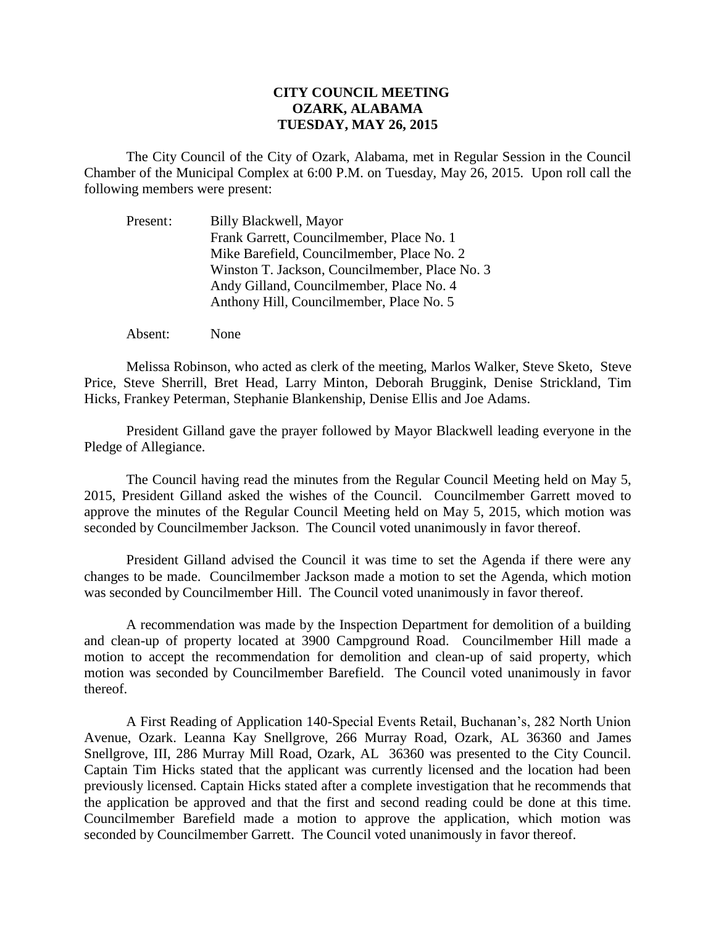## **CITY COUNCIL MEETING OZARK, ALABAMA TUESDAY, MAY 26, 2015**

The City Council of the City of Ozark, Alabama, met in Regular Session in the Council Chamber of the Municipal Complex at 6:00 P.M. on Tuesday, May 26, 2015. Upon roll call the following members were present:

| Present: | Billy Blackwell, Mayor                         |
|----------|------------------------------------------------|
|          | Frank Garrett, Councilmember, Place No. 1      |
|          | Mike Barefield, Councilmember, Place No. 2     |
|          | Winston T. Jackson, Councilmember, Place No. 3 |
|          | Andy Gilland, Councilmember, Place No. 4       |
|          | Anthony Hill, Councilmember, Place No. 5       |

Absent: None

Melissa Robinson, who acted as clerk of the meeting, Marlos Walker, Steve Sketo, Steve Price, Steve Sherrill, Bret Head, Larry Minton, Deborah Bruggink, Denise Strickland, Tim Hicks, Frankey Peterman, Stephanie Blankenship, Denise Ellis and Joe Adams.

President Gilland gave the prayer followed by Mayor Blackwell leading everyone in the Pledge of Allegiance.

The Council having read the minutes from the Regular Council Meeting held on May 5, 2015, President Gilland asked the wishes of the Council. Councilmember Garrett moved to approve the minutes of the Regular Council Meeting held on May 5, 2015, which motion was seconded by Councilmember Jackson. The Council voted unanimously in favor thereof.

President Gilland advised the Council it was time to set the Agenda if there were any changes to be made. Councilmember Jackson made a motion to set the Agenda, which motion was seconded by Councilmember Hill. The Council voted unanimously in favor thereof.

A recommendation was made by the Inspection Department for demolition of a building and clean-up of property located at 3900 Campground Road. Councilmember Hill made a motion to accept the recommendation for demolition and clean-up of said property, which motion was seconded by Councilmember Barefield. The Council voted unanimously in favor thereof.

A First Reading of Application 140-Special Events Retail, Buchanan's, 282 North Union Avenue, Ozark. Leanna Kay Snellgrove, 266 Murray Road, Ozark, AL 36360 and James Snellgrove, III, 286 Murray Mill Road, Ozark, AL 36360 was presented to the City Council. Captain Tim Hicks stated that the applicant was currently licensed and the location had been previously licensed. Captain Hicks stated after a complete investigation that he recommends that the application be approved and that the first and second reading could be done at this time. Councilmember Barefield made a motion to approve the application, which motion was seconded by Councilmember Garrett. The Council voted unanimously in favor thereof.